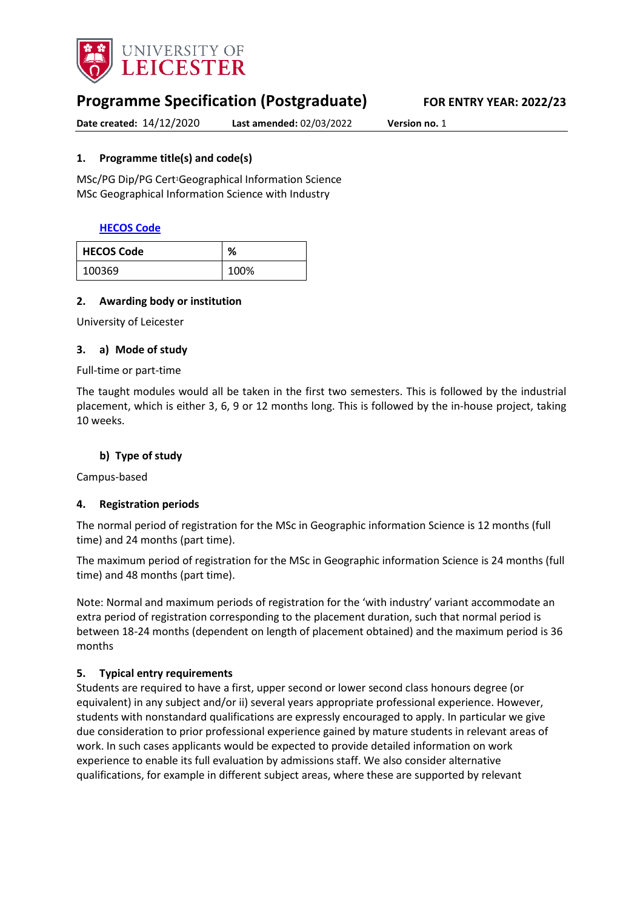

# **Programme Specification (Postgraduate) FOR ENTRY YEAR: 2022/23**

**Date created:** 14/12/2020 **Last amended:** 02/03/2022 **Version no.** 1

#### <span id="page-0-0"></span>**1. Programme title(s) and code(s)**

MSc/PG Dip/PG Cert1Geographical Information Science MSc Geographical Information Science with Industry

## **[HECOS Code](https://www.hesa.ac.uk/innovation/hecos)**

| <b>HECOS Code</b> | ℅    |
|-------------------|------|
| 100369            | 100% |

#### **2. Awarding body or institution**

University of Leicester

#### **3. a) Mode of study**

#### Full-time or part-time

The taught modules would all be taken in the first two semesters. This is followed by the industrial placement, which is either 3, 6, 9 or 12 months long. This is followed by the in-house project, taking 10 weeks.

#### **b) Type of study**

Campus-based

#### **4. Registration periods**

The normal period of registration for the MSc in Geographic information Science is 12 months (full time) and 24 months (part time).

The maximum period of registration for the MSc in Geographic information Science is 24 months (full time) and 48 months (part time).

Note: Normal and maximum periods of registration for the 'with industry' variant accommodate an extra period of registration corresponding to the placement duration, such that normal period is between 18-24 months (dependent on length of placement obtained) and the maximum period is 36 months

#### **5. Typical entry requirements**

Students are required to have a first, upper second or lower second class honours degree (or equivalent) in any subject and/or ii) several years appropriate professional experience. However, students with nonstandard qualifications are expressly encouraged to apply. In particular we give due consideration to prior professional experience gained by mature students in relevant areas of work. In such cases applicants would be expected to provide detailed information on work experience to enable its full evaluation by admissions staff. We also consider alternative qualifications, for example in different subject areas, where these are supported by relevant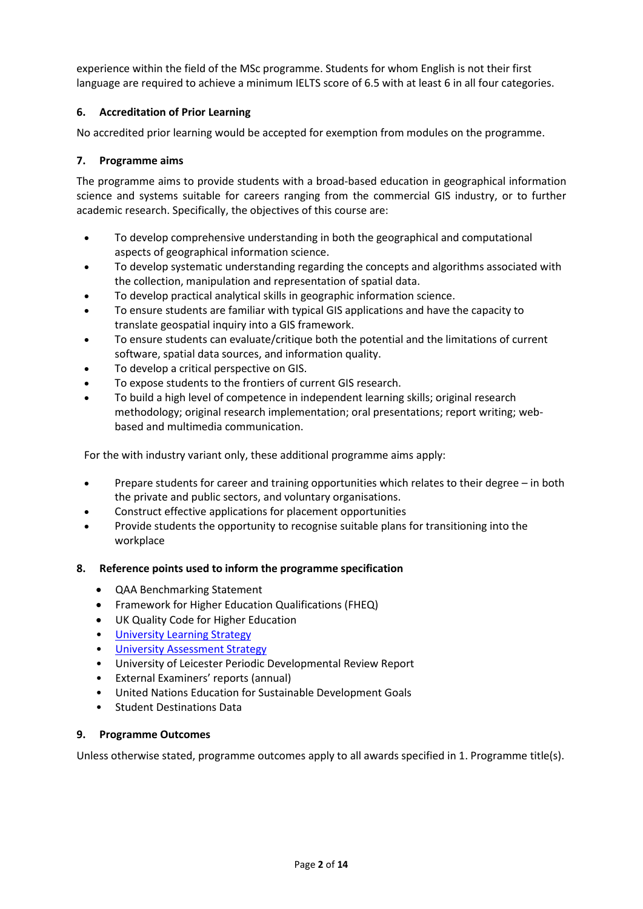experience within the field of the MSc programme. Students for whom English is not their first language are required to achieve a minimum IELTS score of 6.5 with at least 6 in all four categories.

## **6. Accreditation of Prior Learning**

No accredited prior learning would be accepted for exemption from modules on the programme.

## **7. Programme aims**

The programme aims to provide students with a broad-based education in geographical information science and systems suitable for careers ranging from the commercial GIS industry, or to further academic research. Specifically, the objectives of this course are:

- To develop comprehensive understanding in both the geographical and computational aspects of geographical information science.
- To develop systematic understanding regarding the concepts and algorithms associated with the collection, manipulation and representation of spatial data.
- To develop practical analytical skills in geographic information science.
- To ensure students are familiar with typical GIS applications and have the capacity to translate geospatial inquiry into a GIS framework.
- To ensure students can evaluate/critique both the potential and the limitations of current software, spatial data sources, and information quality.
- To develop a critical perspective on GIS.
- To expose students to the frontiers of current GIS research.
- To build a high level of competence in independent learning skills; original research methodology; original research implementation; oral presentations; report writing; webbased and multimedia communication.

For the with industry variant only, these additional programme aims apply:

- Prepare students for career and training opportunities which relates to their degree in both the private and public sectors, and voluntary organisations.
- Construct effective applications for placement opportunities
- Provide students the opportunity to recognise suitable plans for transitioning into the workplace

#### **8. Reference points used to inform the programme specification**

- QAA Benchmarking Statement
- Framework for Higher Education Qualifications (FHEQ)
- UK Quality Code for Higher Education
- [University Learning](https://www2.le.ac.uk/offices/sas2/quality/learnteach) Strategy
- [University Assessment Strategy](https://www2.le.ac.uk/offices/sas2/quality/learnteach)
- University of Leicester Periodic Developmental Review Report
- External Examiners' reports (annual)
- United Nations Education for Sustainable Development Goals
- Student Destinations Data

#### **9. Programme Outcomes**

Unless otherwise stated, programme outcomes apply to all awards specified in [1.](#page-0-0) Programme title(s).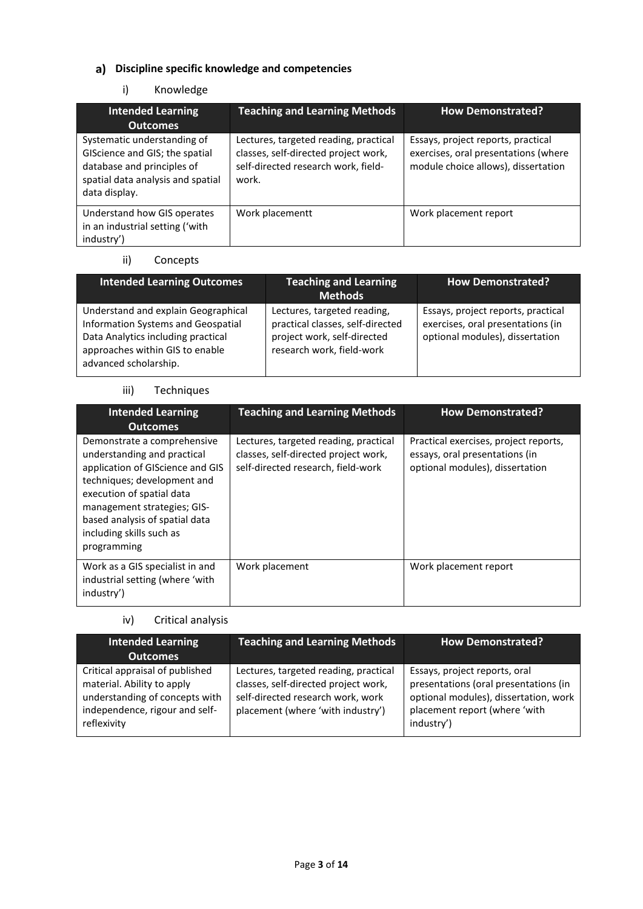# **Discipline specific knowledge and competencies**

# i) Knowledge

| <b>Intended Learning</b>                                                                                                                          | <b>Teaching and Learning Methods</b>                                                                                          | <b>How Demonstrated?</b>                                                                                          |
|---------------------------------------------------------------------------------------------------------------------------------------------------|-------------------------------------------------------------------------------------------------------------------------------|-------------------------------------------------------------------------------------------------------------------|
| <b>Outcomes</b>                                                                                                                                   |                                                                                                                               |                                                                                                                   |
| Systematic understanding of<br>GIScience and GIS; the spatial<br>database and principles of<br>spatial data analysis and spatial<br>data display. | Lectures, targeted reading, practical<br>classes, self-directed project work,<br>self-directed research work, field-<br>work. | Essays, project reports, practical<br>exercises, oral presentations (where<br>module choice allows), dissertation |
| Understand how GIS operates<br>in an industrial setting ('with<br>industry')                                                                      | Work placementt                                                                                                               | Work placement report                                                                                             |

# ii) Concepts

| <b>Intended Learning Outcomes</b>                                                                                                                                           | <b>Teaching and Learning</b><br><b>Methods</b>                                                                              | <b>How Demonstrated?</b>                                                                                   |
|-----------------------------------------------------------------------------------------------------------------------------------------------------------------------------|-----------------------------------------------------------------------------------------------------------------------------|------------------------------------------------------------------------------------------------------------|
| Understand and explain Geographical<br>Information Systems and Geospatial<br>Data Analytics including practical<br>approaches within GIS to enable<br>advanced scholarship. | Lectures, targeted reading,<br>practical classes, self-directed<br>project work, self-directed<br>research work, field-work | Essays, project reports, practical<br>exercises, oral presentations (in<br>optional modules), dissertation |

#### iii) Techniques

| <b>Intended Learning</b><br><b>Outcomes</b>                                                                                                                                                                                                                            | <b>Teaching and Learning Methods</b>                                                                                | <b>How Demonstrated?</b>                                                                                   |
|------------------------------------------------------------------------------------------------------------------------------------------------------------------------------------------------------------------------------------------------------------------------|---------------------------------------------------------------------------------------------------------------------|------------------------------------------------------------------------------------------------------------|
| Demonstrate a comprehensive<br>understanding and practical<br>application of GIScience and GIS<br>techniques; development and<br>execution of spatial data<br>management strategies; GIS-<br>based analysis of spatial data<br>including skills such as<br>programming | Lectures, targeted reading, practical<br>classes, self-directed project work,<br>self-directed research, field-work | Practical exercises, project reports,<br>essays, oral presentations (in<br>optional modules), dissertation |
| Work as a GIS specialist in and<br>industrial setting (where 'with<br>industry')                                                                                                                                                                                       | Work placement                                                                                                      | Work placement report                                                                                      |

# iv) Critical analysis

| <b>Intended Learning</b><br><b>Outcomes</b>                                                                                                      | <b>Teaching and Learning Methods</b>                                                                                                                    | <b>How Demonstrated?</b>                                                                                                                                       |
|--------------------------------------------------------------------------------------------------------------------------------------------------|---------------------------------------------------------------------------------------------------------------------------------------------------------|----------------------------------------------------------------------------------------------------------------------------------------------------------------|
| Critical appraisal of published<br>material. Ability to apply<br>understanding of concepts with<br>independence, rigour and self-<br>reflexivity | Lectures, targeted reading, practical<br>classes, self-directed project work,<br>self-directed research work, work<br>placement (where 'with industry') | Essays, project reports, oral<br>presentations (oral presentations (in<br>optional modules), dissertation, work<br>placement report (where 'with<br>industry') |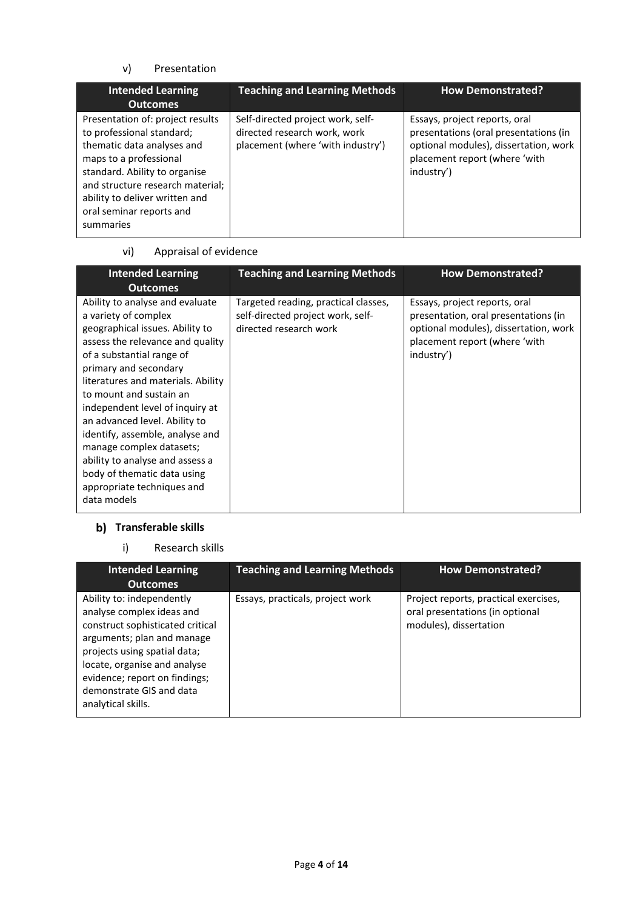## v) Presentation

| <b>Intended Learning</b><br><b>Outcomes</b>                                                                                                                                                                                                                           | <b>Teaching and Learning Methods</b>                                                                   | <b>How Demonstrated?</b>                                                                                                                                       |
|-----------------------------------------------------------------------------------------------------------------------------------------------------------------------------------------------------------------------------------------------------------------------|--------------------------------------------------------------------------------------------------------|----------------------------------------------------------------------------------------------------------------------------------------------------------------|
| Presentation of: project results<br>to professional standard;<br>thematic data analyses and<br>maps to a professional<br>standard. Ability to organise<br>and structure research material;<br>ability to deliver written and<br>oral seminar reports and<br>summaries | Self-directed project work, self-<br>directed research work, work<br>placement (where 'with industry') | Essays, project reports, oral<br>presentations (oral presentations (in<br>optional modules), dissertation, work<br>placement report (where 'with<br>industry') |

#### vi) Appraisal of evidence

| <b>Intended Learning</b><br><b>Outcomes</b>                                                                                                                                                                                                                                                                                                                                                                                                                                                             | <b>Teaching and Learning Methods</b>                                                                | <b>How Demonstrated?</b>                                                                                                                                      |
|---------------------------------------------------------------------------------------------------------------------------------------------------------------------------------------------------------------------------------------------------------------------------------------------------------------------------------------------------------------------------------------------------------------------------------------------------------------------------------------------------------|-----------------------------------------------------------------------------------------------------|---------------------------------------------------------------------------------------------------------------------------------------------------------------|
| Ability to analyse and evaluate<br>a variety of complex<br>geographical issues. Ability to<br>assess the relevance and quality<br>of a substantial range of<br>primary and secondary<br>literatures and materials. Ability<br>to mount and sustain an<br>independent level of inquiry at<br>an advanced level. Ability to<br>identify, assemble, analyse and<br>manage complex datasets;<br>ability to analyse and assess a<br>body of thematic data using<br>appropriate techniques and<br>data models | Targeted reading, practical classes,<br>self-directed project work, self-<br>directed research work | Essays, project reports, oral<br>presentation, oral presentations (in<br>optional modules), dissertation, work<br>placement report (where 'with<br>industry') |

# **Transferable skills**

i) Research skills

| <b>Intended Learning</b><br><b>Outcomes</b>                                                                                                                                                                                                                                 | <b>Teaching and Learning Methods</b> | <b>How Demonstrated?</b>                                                                           |
|-----------------------------------------------------------------------------------------------------------------------------------------------------------------------------------------------------------------------------------------------------------------------------|--------------------------------------|----------------------------------------------------------------------------------------------------|
| Ability to: independently<br>analyse complex ideas and<br>construct sophisticated critical<br>arguments; plan and manage<br>projects using spatial data;<br>locate, organise and analyse<br>evidence; report on findings;<br>demonstrate GIS and data<br>analytical skills. | Essays, practicals, project work     | Project reports, practical exercises,<br>oral presentations (in optional<br>modules), dissertation |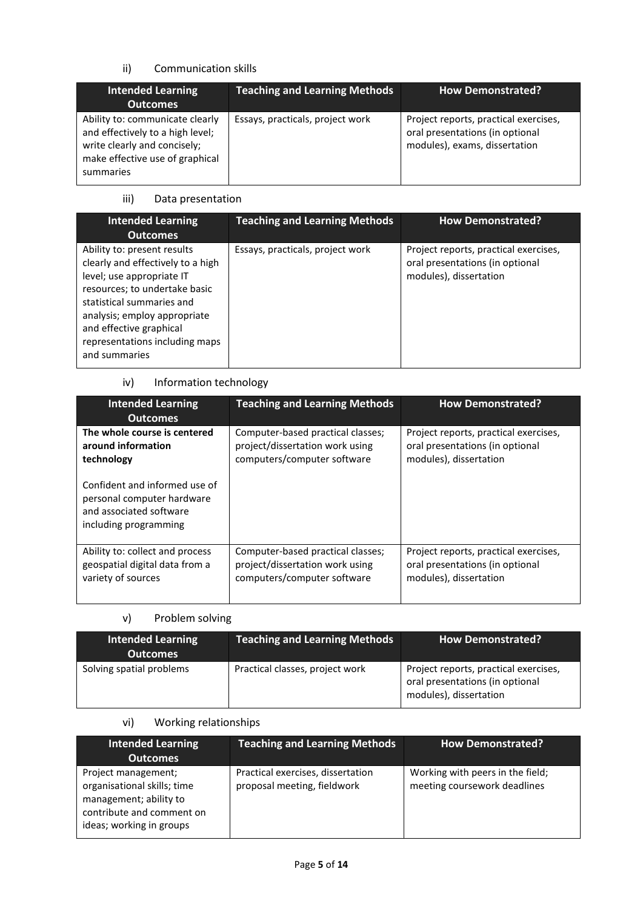## ii) Communication skills

| <b>Intended Learning</b><br><b>Outcomes</b>                                                                                                         | <b>Teaching and Learning Methods</b> | <b>How Demonstrated?</b>                                                                                  |
|-----------------------------------------------------------------------------------------------------------------------------------------------------|--------------------------------------|-----------------------------------------------------------------------------------------------------------|
| Ability to: communicate clearly<br>and effectively to a high level;<br>write clearly and concisely;<br>make effective use of graphical<br>summaries | Essays, practicals, project work     | Project reports, practical exercises,<br>oral presentations (in optional<br>modules), exams, dissertation |

# iii) Data presentation

| <b>Intended Learning</b><br><b>Outcomes</b>                                                                                                                                                                                                                               | <b>Teaching and Learning Methods</b> | <b>How Demonstrated?</b>                                                                           |
|---------------------------------------------------------------------------------------------------------------------------------------------------------------------------------------------------------------------------------------------------------------------------|--------------------------------------|----------------------------------------------------------------------------------------------------|
| Ability to: present results<br>clearly and effectively to a high<br>level; use appropriate IT<br>resources; to undertake basic<br>statistical summaries and<br>analysis; employ appropriate<br>and effective graphical<br>representations including maps<br>and summaries | Essays, practicals, project work     | Project reports, practical exercises,<br>oral presentations (in optional<br>modules), dissertation |

#### iv) Information technology

| <b>Intended Learning</b><br><b>Outcomes</b>                                                                     | <b>Teaching and Learning Methods</b> | <b>How Demonstrated?</b>              |
|-----------------------------------------------------------------------------------------------------------------|--------------------------------------|---------------------------------------|
| The whole course is centered                                                                                    | Computer-based practical classes;    | Project reports, practical exercises, |
| around information                                                                                              | project/dissertation work using      | oral presentations (in optional       |
| technology                                                                                                      | computers/computer software          | modules), dissertation                |
| Confident and informed use of<br>personal computer hardware<br>and associated software<br>including programming |                                      |                                       |
| Ability to: collect and process                                                                                 | Computer-based practical classes;    | Project reports, practical exercises, |
| geospatial digital data from a                                                                                  | project/dissertation work using      | oral presentations (in optional       |
| variety of sources                                                                                              | computers/computer software          | modules), dissertation                |

# v) Problem solving

| <b>Intended Learning</b><br><b>Outcomes</b> | <b>Teaching and Learning Methods</b> | <b>How Demonstrated?</b>                                                                           |
|---------------------------------------------|--------------------------------------|----------------------------------------------------------------------------------------------------|
| Solving spatial problems                    | Practical classes, project work      | Project reports, practical exercises,<br>oral presentations (in optional<br>modules), dissertation |

# vi) Working relationships

| <b>Intended Learning</b><br><b>Outcomes</b>                                                                                           | <b>Teaching and Learning Methods</b>                             | <b>How Demonstrated?</b>                                         |
|---------------------------------------------------------------------------------------------------------------------------------------|------------------------------------------------------------------|------------------------------------------------------------------|
| Project management;<br>organisational skills; time<br>management; ability to<br>contribute and comment on<br>ideas; working in groups | Practical exercises, dissertation<br>proposal meeting, fieldwork | Working with peers in the field;<br>meeting coursework deadlines |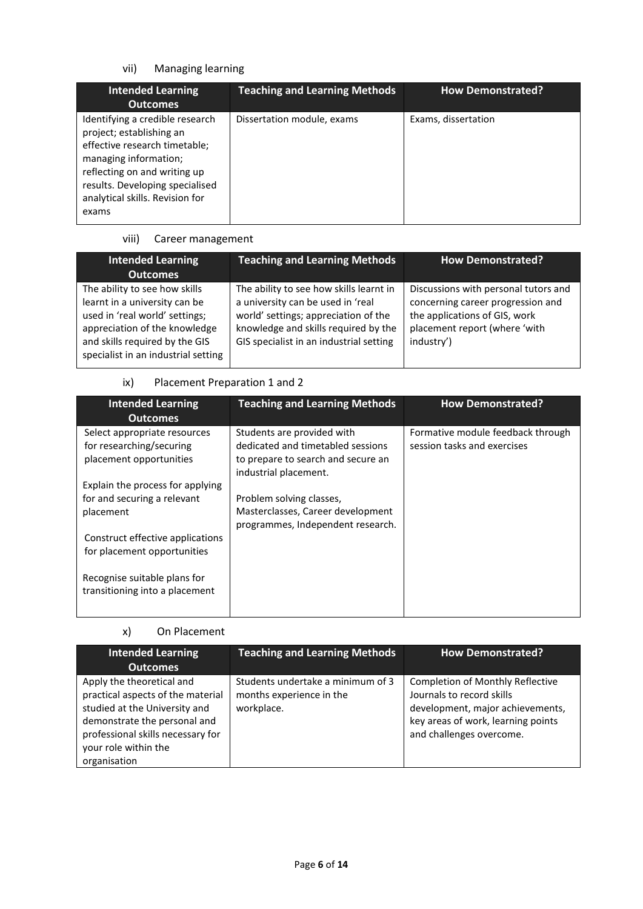# vii) Managing learning

| <b>Intended Learning</b><br><b>Outcomes</b>                                                                                                                                                                                          | <b>Teaching and Learning Methods</b> | <b>How Demonstrated?</b> |
|--------------------------------------------------------------------------------------------------------------------------------------------------------------------------------------------------------------------------------------|--------------------------------------|--------------------------|
| Identifying a credible research<br>project; establishing an<br>effective research timetable;<br>managing information;<br>reflecting on and writing up<br>results. Developing specialised<br>analytical skills. Revision for<br>exams | Dissertation module, exams           | Exams, dissertation      |

# viii) Career management

| <b>Intended Learning</b><br><b>Outcomes</b>                                                                                                                                                                | <b>Teaching and Learning Methods</b>                                                                                                                                                                    | <b>How Demonstrated?</b>                                                                                                                                  |
|------------------------------------------------------------------------------------------------------------------------------------------------------------------------------------------------------------|---------------------------------------------------------------------------------------------------------------------------------------------------------------------------------------------------------|-----------------------------------------------------------------------------------------------------------------------------------------------------------|
| The ability to see how skills<br>learnt in a university can be<br>used in 'real world' settings;<br>appreciation of the knowledge<br>and skills required by the GIS<br>specialist in an industrial setting | The ability to see how skills learnt in<br>a university can be used in 'real<br>world' settings; appreciation of the<br>knowledge and skills required by the<br>GIS specialist in an industrial setting | Discussions with personal tutors and<br>concerning career progression and<br>the applications of GIS, work<br>placement report (where 'with<br>industry') |

## ix) Placement Preparation 1 and 2

| <b>Intended Learning</b><br><b>Outcomes</b> | <b>Teaching and Learning Methods</b> | <b>How Demonstrated?</b>          |
|---------------------------------------------|--------------------------------------|-----------------------------------|
| Select appropriate resources                | Students are provided with           | Formative module feedback through |
| for researching/securing                    | dedicated and timetabled sessions    | session tasks and exercises       |
| placement opportunities                     | to prepare to search and secure an   |                                   |
|                                             | industrial placement.                |                                   |
| Explain the process for applying            |                                      |                                   |
| for and securing a relevant                 | Problem solving classes,             |                                   |
| placement                                   | Masterclasses, Career development    |                                   |
|                                             | programmes, Independent research.    |                                   |
| Construct effective applications            |                                      |                                   |
| for placement opportunities                 |                                      |                                   |
|                                             |                                      |                                   |
| Recognise suitable plans for                |                                      |                                   |
| transitioning into a placement              |                                      |                                   |
|                                             |                                      |                                   |
|                                             |                                      |                                   |

#### x) On Placement

| <b>Intended Learning</b><br>Outcomes                                                                                                                                                                         | <b>Teaching and Learning Methods</b>                                        | <b>How Demonstrated?</b>                                                                                                                                                   |
|--------------------------------------------------------------------------------------------------------------------------------------------------------------------------------------------------------------|-----------------------------------------------------------------------------|----------------------------------------------------------------------------------------------------------------------------------------------------------------------------|
| Apply the theoretical and<br>practical aspects of the material<br>studied at the University and<br>demonstrate the personal and<br>professional skills necessary for<br>your role within the<br>organisation | Students undertake a minimum of 3<br>months experience in the<br>workplace. | <b>Completion of Monthly Reflective</b><br>Journals to record skills<br>development, major achievements,<br>key areas of work, learning points<br>and challenges overcome. |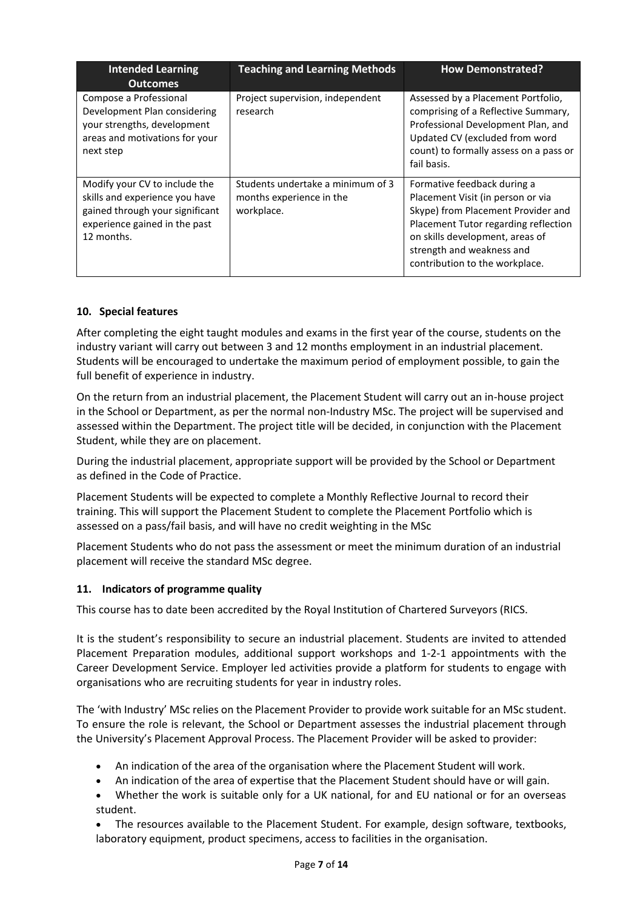| <b>Intended Learning</b><br><b>Outcomes</b>                                                                                                       | <b>Teaching and Learning Methods</b>                                        | <b>How Demonstrated?</b>                                                                                                                                                                                                                         |
|---------------------------------------------------------------------------------------------------------------------------------------------------|-----------------------------------------------------------------------------|--------------------------------------------------------------------------------------------------------------------------------------------------------------------------------------------------------------------------------------------------|
| Compose a Professional<br>Development Plan considering<br>your strengths, development<br>areas and motivations for your<br>next step              | Project supervision, independent<br>research                                | Assessed by a Placement Portfolio,<br>comprising of a Reflective Summary,<br>Professional Development Plan, and<br>Updated CV (excluded from word<br>count) to formally assess on a pass or<br>fail basis.                                       |
| Modify your CV to include the<br>skills and experience you have<br>gained through your significant<br>experience gained in the past<br>12 months. | Students undertake a minimum of 3<br>months experience in the<br>workplace. | Formative feedback during a<br>Placement Visit (in person or via<br>Skype) from Placement Provider and<br>Placement Tutor regarding reflection<br>on skills development, areas of<br>strength and weakness and<br>contribution to the workplace. |

#### **10. Special features**

After completing the eight taught modules and exams in the first year of the course, students on the industry variant will carry out between 3 and 12 months employment in an industrial placement. Students will be encouraged to undertake the maximum period of employment possible, to gain the full benefit of experience in industry.

On the return from an industrial placement, the Placement Student will carry out an in-house project in the School or Department, as per the normal non-Industry MSc. The project will be supervised and assessed within the Department. The project title will be decided, in conjunction with the Placement Student, while they are on placement.

During the industrial placement, appropriate support will be provided by the School or Department as defined in the Code of Practice.

Placement Students will be expected to complete a Monthly Reflective Journal to record their training. This will support the Placement Student to complete the Placement Portfolio which is assessed on a pass/fail basis, and will have no credit weighting in the MSc

Placement Students who do not pass the assessment or meet the minimum duration of an industrial placement will receive the standard MSc degree.

#### **11. Indicators of programme quality**

This course has to date been accredited by the Royal Institution of Chartered Surveyors (RICS.

It is the student's responsibility to secure an industrial placement. Students are invited to attended Placement Preparation modules, additional support workshops and 1-2-1 appointments with the Career Development Service. Employer led activities provide a platform for students to engage with organisations who are recruiting students for year in industry roles.

The 'with Industry' MSc relies on the Placement Provider to provide work suitable for an MSc student. To ensure the role is relevant, the School or Department assesses the industrial placement through the University's Placement Approval Process. The Placement Provider will be asked to provider:

- An indication of the area of the organisation where the Placement Student will work.
- An indication of the area of expertise that the Placement Student should have or will gain.
- Whether the work is suitable only for a UK national, for and EU national or for an overseas student.

• The resources available to the Placement Student. For example, design software, textbooks, laboratory equipment, product specimens, access to facilities in the organisation.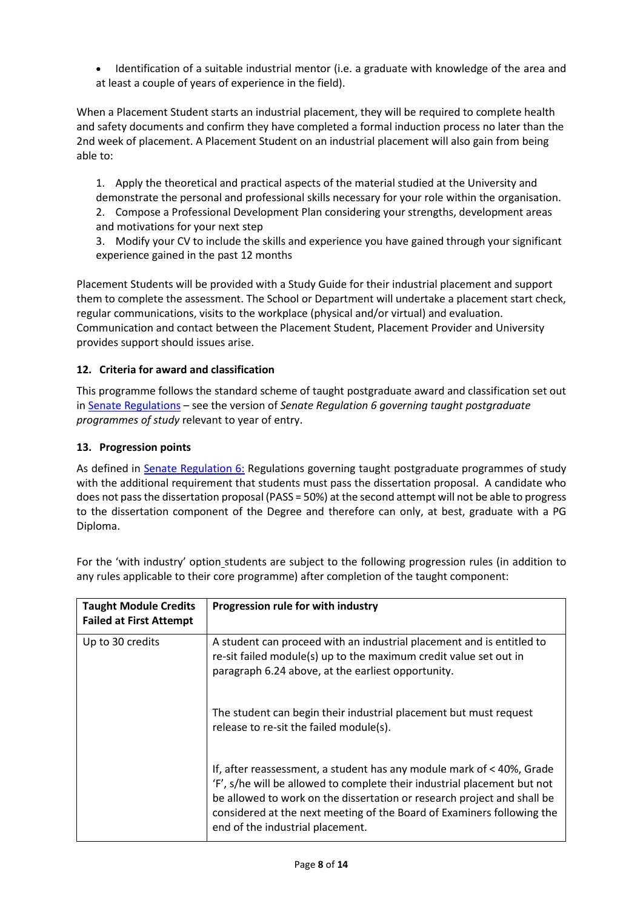• Identification of a suitable industrial mentor (i.e. a graduate with knowledge of the area and at least a couple of years of experience in the field).

When a Placement Student starts an industrial placement, they will be required to complete health and safety documents and confirm they have completed a formal induction process no later than the 2nd week of placement. A Placement Student on an industrial placement will also gain from being able to:

1. Apply the theoretical and practical aspects of the material studied at the University and demonstrate the personal and professional skills necessary for your role within the organisation. 2. Compose a Professional Development Plan considering your strengths, development areas and motivations for your next step

3. Modify your CV to include the skills and experience you have gained through your significant experience gained in the past 12 months

Placement Students will be provided with a Study Guide for their industrial placement and support them to complete the assessment. The School or Department will undertake a placement start check, regular communications, visits to the workplace (physical and/or virtual) and evaluation. Communication and contact between the Placement Student, Placement Provider and University provides support should issues arise.

#### **12. Criteria for award and classification**

This programme follows the standard scheme of taught postgraduate award and classification set out i[n Senate Regulations](http://www.le.ac.uk/senate-regulations) – see the version of *Senate Regulation 6 governing taught postgraduate programmes of study* relevant to year of entry.

#### **13. Progression points**

As defined in [Senate Regulation 6:](http://www.le.ac.uk/senate-regulation6) Regulations governing taught postgraduate programmes of study with the additional requirement that students must pass the dissertation proposal. A candidate who does not pass the dissertation proposal (PASS = 50%) at the second attempt will not be able to progress to the dissertation component of the Degree and therefore can only, at best, graduate with a PG Diploma.

| <b>Taught Module Credits</b><br><b>Failed at First Attempt</b> | Progression rule for with industry                                                                                                                                                                                                                                                                                                         |
|----------------------------------------------------------------|--------------------------------------------------------------------------------------------------------------------------------------------------------------------------------------------------------------------------------------------------------------------------------------------------------------------------------------------|
| Up to 30 credits                                               | A student can proceed with an industrial placement and is entitled to<br>re-sit failed module(s) up to the maximum credit value set out in<br>paragraph 6.24 above, at the earliest opportunity.                                                                                                                                           |
|                                                                | The student can begin their industrial placement but must request<br>release to re-sit the failed module(s).                                                                                                                                                                                                                               |
|                                                                | If, after reassessment, a student has any module mark of < 40%, Grade<br>'F', s/he will be allowed to complete their industrial placement but not<br>be allowed to work on the dissertation or research project and shall be<br>considered at the next meeting of the Board of Examiners following the<br>end of the industrial placement. |

For the 'with industry' option\_students are subject to the following progression rules (in addition to any rules applicable to their core programme) after completion of the taught component: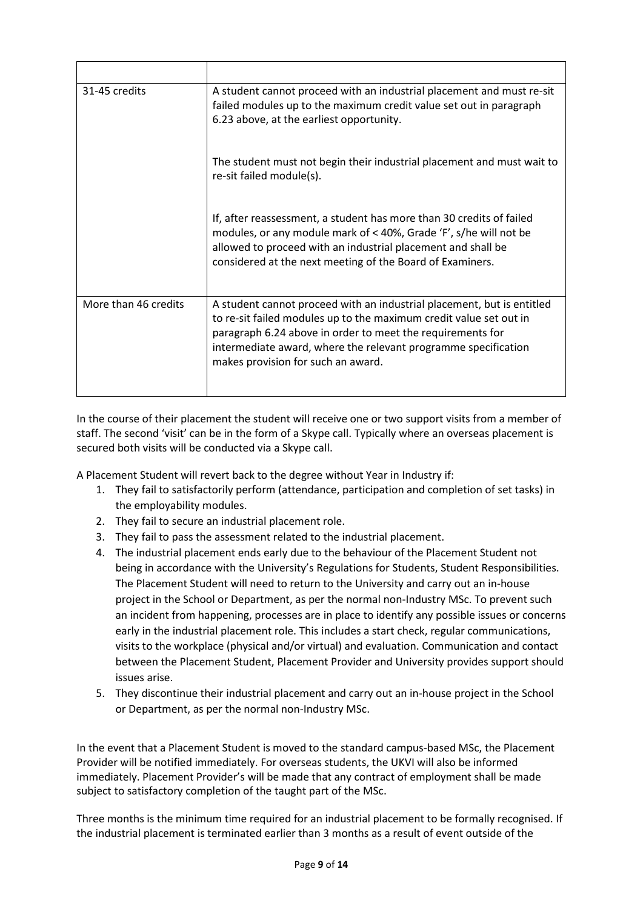| 31-45 credits        | A student cannot proceed with an industrial placement and must re-sit<br>failed modules up to the maximum credit value set out in paragraph<br>6.23 above, at the earliest opportunity.                                                                                                                            |
|----------------------|--------------------------------------------------------------------------------------------------------------------------------------------------------------------------------------------------------------------------------------------------------------------------------------------------------------------|
|                      | The student must not begin their industrial placement and must wait to<br>re-sit failed module(s).                                                                                                                                                                                                                 |
|                      | If, after reassessment, a student has more than 30 credits of failed<br>modules, or any module mark of < 40%, Grade 'F', s/he will not be<br>allowed to proceed with an industrial placement and shall be<br>considered at the next meeting of the Board of Examiners.                                             |
| More than 46 credits | A student cannot proceed with an industrial placement, but is entitled<br>to re-sit failed modules up to the maximum credit value set out in<br>paragraph 6.24 above in order to meet the requirements for<br>intermediate award, where the relevant programme specification<br>makes provision for such an award. |

In the course of their placement the student will receive one or two support visits from a member of staff. The second 'visit' can be in the form of a Skype call. Typically where an overseas placement is secured both visits will be conducted via a Skype call.

A Placement Student will revert back to the degree without Year in Industry if:

- 1. They fail to satisfactorily perform (attendance, participation and completion of set tasks) in the employability modules.
- 2. They fail to secure an industrial placement role.
- 3. They fail to pass the assessment related to the industrial placement.
- 4. The industrial placement ends early due to the behaviour of the Placement Student not being in accordance with the University's Regulations for Students, Student Responsibilities. The Placement Student will need to return to the University and carry out an in-house project in the School or Department, as per the normal non-Industry MSc. To prevent such an incident from happening, processes are in place to identify any possible issues or concerns early in the industrial placement role. This includes a start check, regular communications, visits to the workplace (physical and/or virtual) and evaluation. Communication and contact between the Placement Student, Placement Provider and University provides support should issues arise.
- 5. They discontinue their industrial placement and carry out an in-house project in the School or Department, as per the normal non-Industry MSc.

In the event that a Placement Student is moved to the standard campus-based MSc, the Placement Provider will be notified immediately. For overseas students, the UKVI will also be informed immediately. Placement Provider's will be made that any contract of employment shall be made subject to satisfactory completion of the taught part of the MSc.

Three months is the minimum time required for an industrial placement to be formally recognised. If the industrial placement is terminated earlier than 3 months as a result of event outside of the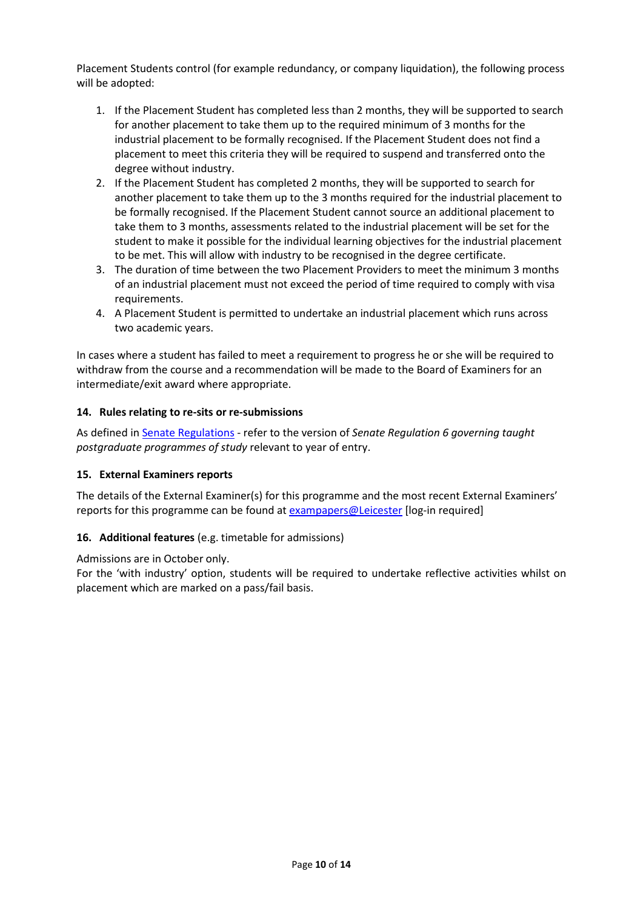Placement Students control (for example redundancy, or company liquidation), the following process will be adopted:

- 1. If the Placement Student has completed less than 2 months, they will be supported to search for another placement to take them up to the required minimum of 3 months for the industrial placement to be formally recognised. If the Placement Student does not find a placement to meet this criteria they will be required to suspend and transferred onto the degree without industry.
- 2. If the Placement Student has completed 2 months, they will be supported to search for another placement to take them up to the 3 months required for the industrial placement to be formally recognised. If the Placement Student cannot source an additional placement to take them to 3 months, assessments related to the industrial placement will be set for the student to make it possible for the individual learning objectives for the industrial placement to be met. This will allow with industry to be recognised in the degree certificate.
- 3. The duration of time between the two Placement Providers to meet the minimum 3 months of an industrial placement must not exceed the period of time required to comply with visa requirements.
- 4. A Placement Student is permitted to undertake an industrial placement which runs across two academic years.

In cases where a student has failed to meet a requirement to progress he or she will be required to withdraw from the course and a recommendation will be made to the Board of Examiners for an intermediate/exit award where appropriate.

#### **14. Rules relating to re-sits or re-submissions**

As defined i[n Senate Regulations](http://www.le.ac.uk/senate-regulation6) - refer to the version of *Senate Regulation 6 governing taught postgraduate programmes of study* relevant to year of entry.

#### **15. External Examiners reports**

The details of the External Examiner(s) for this programme and the most recent External Examiners' reports for this programme can be found at **exampapers@Leicester** [log-in required]

#### **16. Additional features** (e.g. timetable for admissions)

Admissions are in October only.

For the 'with industry' option, students will be required to undertake reflective activities whilst on placement which are marked on a pass/fail basis.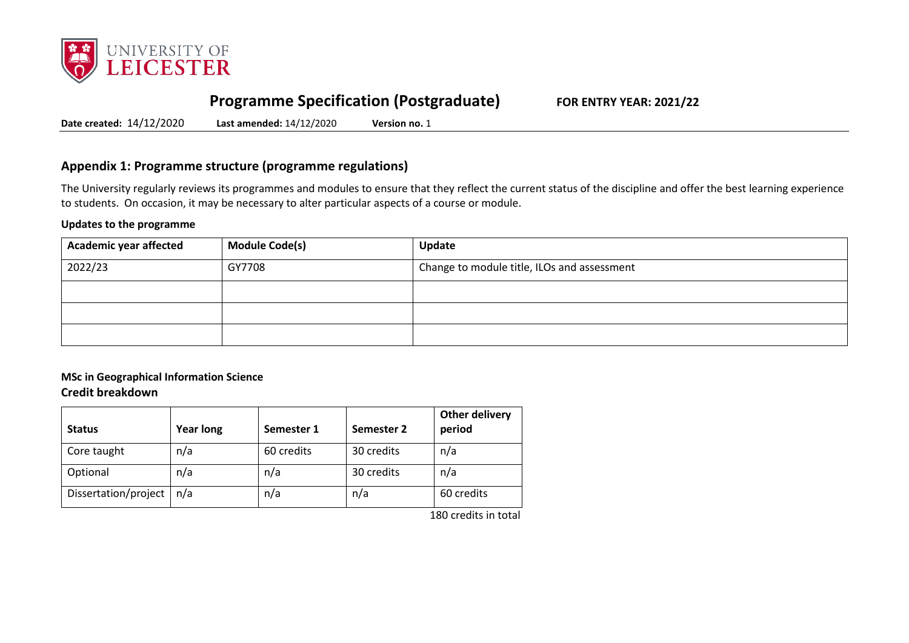

# **Programme Specification (Postgraduate) FOR ENTRY YEAR: 2021/22**

**Date created:** 14/12/2020 **Last amended:** 14/12/2020 **Version no.** 1

## **Appendix 1: Programme structure (programme regulations)**

The University regularly reviews its programmes and modules to ensure that they reflect the current status of the discipline and offer the best learning experience to students. On occasion, it may be necessary to alter particular aspects of a course or module.

#### **Updates to the programme**

| <b>Academic year affected</b> | <b>Module Code(s)</b> | Update                                      |
|-------------------------------|-----------------------|---------------------------------------------|
| 2022/23                       | GY7708                | Change to module title, ILOs and assessment |
|                               |                       |                                             |
|                               |                       |                                             |
|                               |                       |                                             |

#### **MSc in Geographical Information Science Credit breakdown**

| <b>Status</b>        | <b>Year long</b> | Semester 1 | Semester 2 | Other delivery<br>period |
|----------------------|------------------|------------|------------|--------------------------|
| Core taught          | n/a              | 60 credits | 30 credits | n/a                      |
| Optional             | n/a              | n/a        | 30 credits | n/a                      |
| Dissertation/project | n/a              | n/a        | n/a        | 60 credits               |
|                      |                  |            |            | $4.00 \pm 0.01$          |

180 credits in total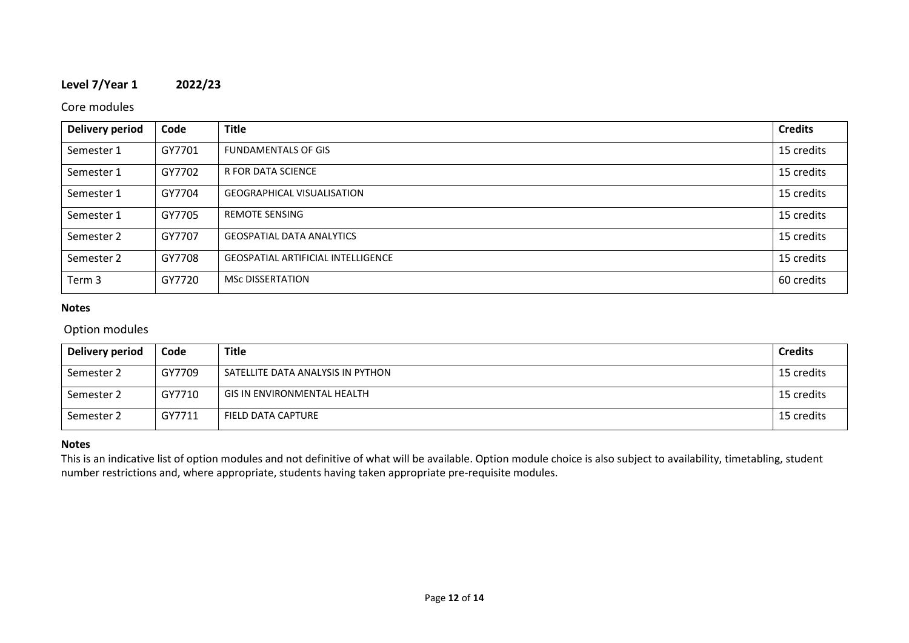# **Level 7/Year 1 2022/23**

### Core modules

| Delivery period | Code   | <b>Title</b>                              | <b>Credits</b> |
|-----------------|--------|-------------------------------------------|----------------|
| Semester 1      | GY7701 | <b>FUNDAMENTALS OF GIS</b>                | 15 credits     |
| Semester 1      | GY7702 | <b>R FOR DATA SCIENCE</b>                 | 15 credits     |
| Semester 1      | GY7704 | <b>GEOGRAPHICAL VISUALISATION</b>         | 15 credits     |
| Semester 1      | GY7705 | <b>REMOTE SENSING</b>                     | 15 credits     |
| Semester 2      | GY7707 | <b>GEOSPATIAL DATA ANALYTICS</b>          | 15 credits     |
| Semester 2      | GY7708 | <b>GEOSPATIAL ARTIFICIAL INTELLIGENCE</b> | 15 credits     |
| Term 3          | GY7720 | <b>MSC DISSERTATION</b>                   | 60 credits     |

#### **Notes**

## Option modules

| Delivery period | Code   | <b>Title</b>                       | <b>Credits</b> |
|-----------------|--------|------------------------------------|----------------|
| Semester 2      | GY7709 | SATELLITE DATA ANALYSIS IN PYTHON  | 15 credits     |
| Semester 2      | GY7710 | <b>GIS IN ENVIRONMENTAL HEALTH</b> | 15 credits     |
| Semester 2      | GY7711 | FIELD DATA CAPTURE                 | 15 credits     |

#### **Notes**

This is an indicative list of option modules and not definitive of what will be available. Option module choice is also subject to availability, timetabling, student number restrictions and, where appropriate, students having taken appropriate pre-requisite modules.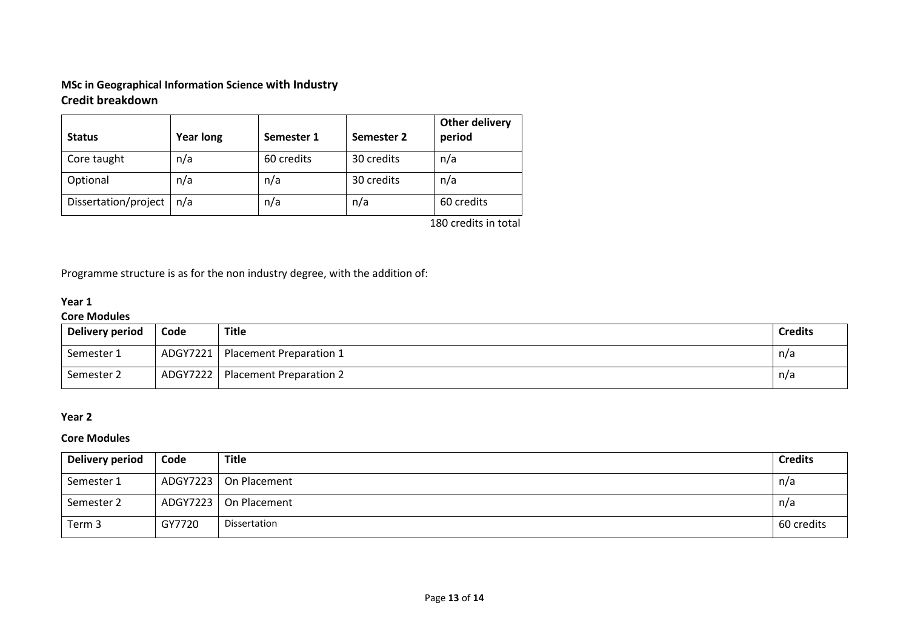## **MSc in Geographical Information Science with Industry Credit breakdown**

| <b>Status</b>        | <b>Year long</b> | Semester 1 | Semester 2 | <b>Other delivery</b><br>period |
|----------------------|------------------|------------|------------|---------------------------------|
| Core taught          | n/a              | 60 credits | 30 credits | n/a                             |
| Optional             | n/a              | n/a        | 30 credits | n/a                             |
| Dissertation/project | n/a              | n/a        | n/a        | 60 credits                      |
|                      |                  |            |            | 180 credits in total            |

Programme structure is as for the non industry degree, with the addition of:

## **Year 1**

#### **Core Modules**

| Delivery period | Code     | <b>Title</b>                   | <b>Credits</b> |
|-----------------|----------|--------------------------------|----------------|
| Semester 1      | ADGY7221 | <b>Placement Preparation 1</b> | $n/\tilde{c}$  |
| Semester 2      | ADGY7222 | <b>Placement Preparation 2</b> | n/a            |

#### **Year 2**

#### **Core Modules**

| Delivery period | Code     | <b>Title</b>            | <b>Credits</b> |
|-----------------|----------|-------------------------|----------------|
| Semester 1      |          | ADGY7223   On Placement | n/a            |
| Semester 2      | ADGY7223 | On Placement            | n/a            |
| Term 3          | GY7720   | Dissertation            | 60 credits     |